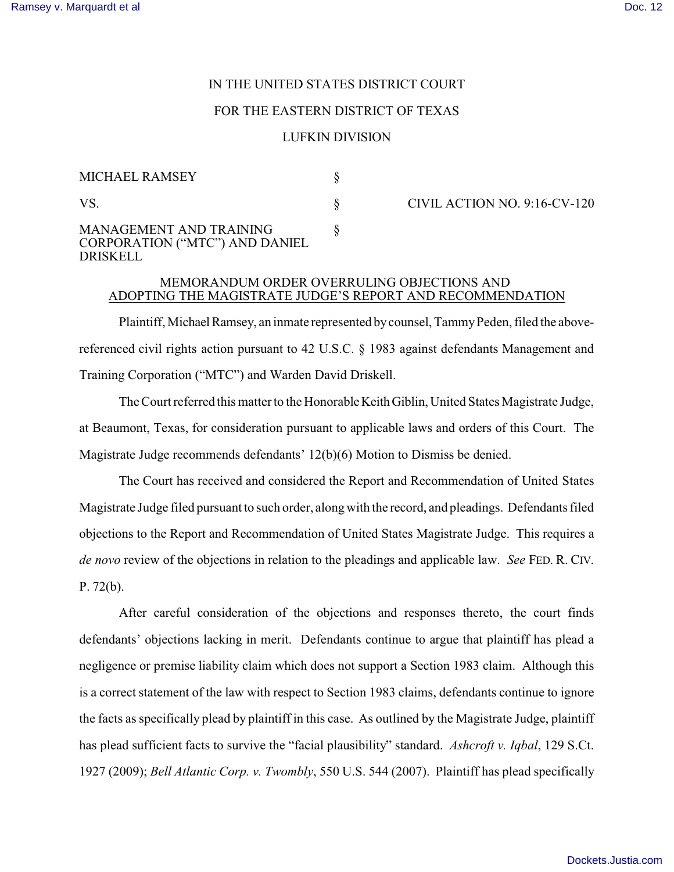# IN THE UNITED STATES DISTRICT COURT

## FOR THE EASTERN DISTRICT OF TEXAS

#### LUFKIN DIVISION

| <b>MICHAEL RAMSEY</b>                                                               |  |
|-------------------------------------------------------------------------------------|--|
| VS.                                                                                 |  |
| <b>MANAGEMENT AND TRAINING</b><br><b>CORPORATION ("MTC") AND DANIEL</b><br>DRISKELL |  |

CIVIL ACTION NO. 9:16-CV-120

# MEMORANDUM ORDER OVERRULING OBJECTIONS AND ADOPTING THE MAGISTRATE JUDGE'S REPORT AND RECOMMENDATION

Plaintiff, Michael Ramsey, an inmate represented by counsel, Tammy Peden, filed the abovereferenced civil rights action pursuant to 42 U.S.C. § 1983 against defendants Management and Training Corporation ("MTC") and Warden David Driskell.

The Court referred this matter to the HonorableKeithGiblin, United States Magistrate Judge, at Beaumont, Texas, for consideration pursuant to applicable laws and orders of this Court. The Magistrate Judge recommends defendants' 12(b)(6) Motion to Dismiss be denied.

The Court has received and considered the Report and Recommendation of United States Magistrate Judge filed pursuant to such order, alongwith the record, and pleadings. Defendants filed objections to the Report and Recommendation of United States Magistrate Judge. This requires a *de novo* review of the objections in relation to the pleadings and applicable law. *See* FED. R. CIV. P. 72(b).

After careful consideration of the objections and responses thereto, the court finds defendants' objections lacking in merit. Defendants continue to argue that plaintiff has plead a negligence or premise liability claim which does not support a Section 1983 claim. Although this is a correct statement of the law with respect to Section 1983 claims, defendants continue to ignore the facts as specifically plead by plaintiff in this case. As outlined by the Magistrate Judge, plaintiff has plead sufficient facts to survive the "facial plausibility" standard. *Ashcroft v. Iqbal*, 129 S.Ct. 1927 (2009); *Bell Atlantic Corp. v. Twombly*, 550 U.S. 544 (2007). Plaintiff has plead specifically